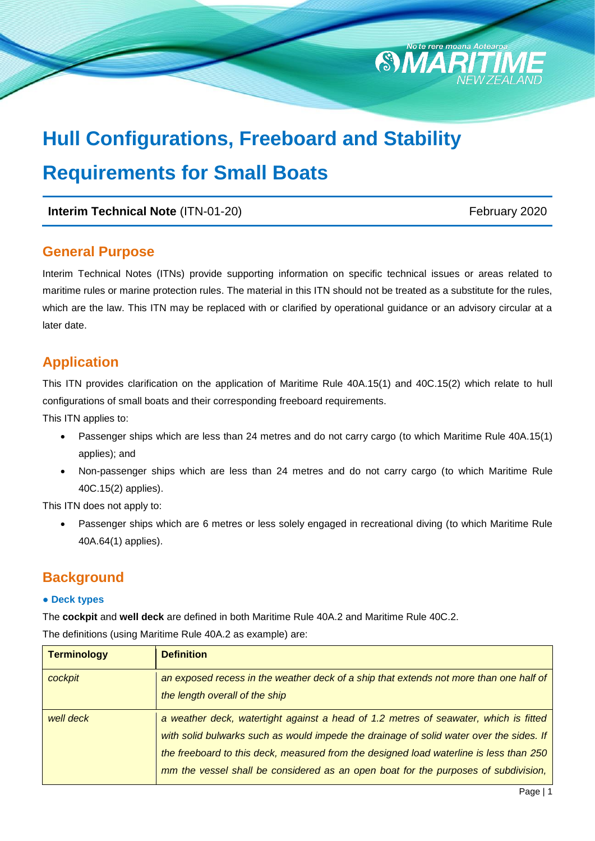

# **Hull Configurations, Freeboard and Stability Requirements for Small Boats**

**Interim Technical Note** (ITN-01-20) February 2020

### **General Purpose**

Interim Technical Notes (ITNs) provide supporting information on specific technical issues or areas related to maritime rules or marine protection rules. The material in this ITN should not be treated as a substitute for the rules, which are the law. This ITN may be replaced with or clarified by operational guidance or an advisory circular at a later date.

### **Application**

This ITN provides clarification on the application of Maritime Rule 40A.15(1) and 40C.15(2) which relate to hull configurations of small boats and their corresponding freeboard requirements.

This ITN applies to:

- Passenger ships which are less than 24 metres and do not carry cargo (to which Maritime Rule 40A.15(1) applies); and
- Non-passenger ships which are less than 24 metres and do not carry cargo (to which Maritime Rule 40C.15(2) applies).

This ITN does not apply to:

 Passenger ships which are 6 metres or less solely engaged in recreational diving (to which Maritime Rule 40A.64(1) applies).

### **Background**

#### **● Deck types**

The **cockpit** and **well deck** are defined in both Maritime Rule 40A.2 and Maritime Rule 40C.2. The definitions (using Maritime Rule 40A.2 as example) are:

| <b>Terminology</b> | <b>Definition</b>                                                                       |
|--------------------|-----------------------------------------------------------------------------------------|
| cockpit            | an exposed recess in the weather deck of a ship that extends not more than one half of  |
|                    | the length overall of the ship                                                          |
| well deck          | a weather deck, watertight against a head of 1.2 metres of seawater, which is fitted    |
|                    | with solid bulwarks such as would impede the drainage of solid water over the sides. If |
|                    | the freeboard to this deck, measured from the designed load waterline is less than 250  |
|                    | mm the vessel shall be considered as an open boat for the purposes of subdivision,      |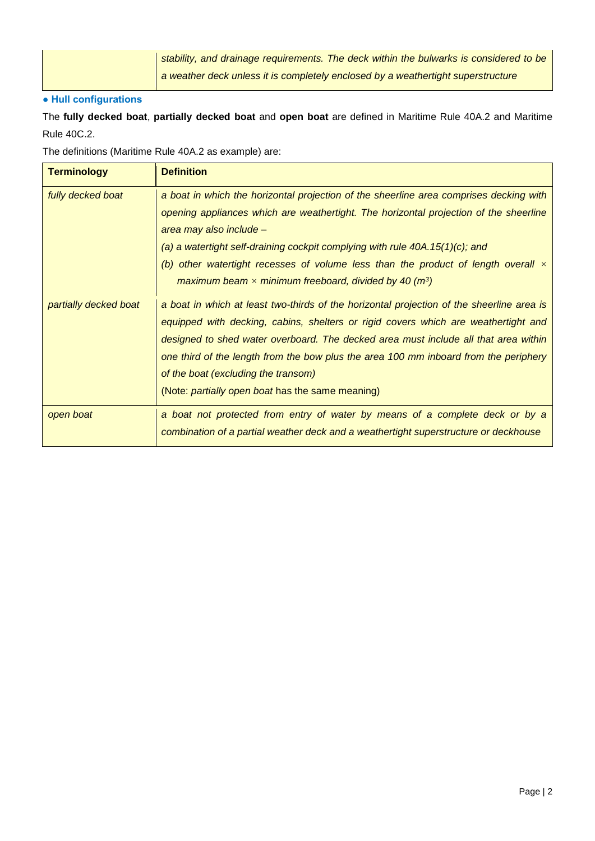| stability, and drainage requirements. The deck within the bulwarks is considered to be |
|----------------------------------------------------------------------------------------|
| a weather deck unless it is completely enclosed by a weathertight superstructure       |

#### **● Hull configurations**

The **fully decked boat**, **partially decked boat** and **open boat** are defined in Maritime Rule 40A.2 and Maritime Rule 40C.2.

The definitions (Maritime Rule 40A.2 as example) are:

| <b>Terminology</b>    | <b>Definition</b>                                                                                                                                                                                                                                                                                                                                                                                                                                                  |
|-----------------------|--------------------------------------------------------------------------------------------------------------------------------------------------------------------------------------------------------------------------------------------------------------------------------------------------------------------------------------------------------------------------------------------------------------------------------------------------------------------|
| fully decked boat     | a boat in which the horizontal projection of the sheerline area comprises decking with<br>opening appliances which are weathertight. The horizontal projection of the sheerline<br>area may also include -<br>(a) a watertight self-draining cockpit complying with rule 40A.15(1)(c); and<br>(b) other watertight recesses of volume less than the product of length overall $\times$<br>maximum beam $\times$ minimum freeboard, divided by 40 (m <sup>3</sup> ) |
| partially decked boat | a boat in which at least two-thirds of the horizontal projection of the sheerline area is<br>equipped with decking, cabins, shelters or rigid covers which are weathertight and<br>designed to shed water overboard. The decked area must include all that area within<br>one third of the length from the bow plus the area 100 mm inboard from the periphery<br>of the boat (excluding the transom)<br>(Note: <i>partially open boat</i> has the same meaning)   |
| open boat             | a boat not protected from entry of water by means of a complete deck or by a<br>combination of a partial weather deck and a weathertight superstructure or deckhouse                                                                                                                                                                                                                                                                                               |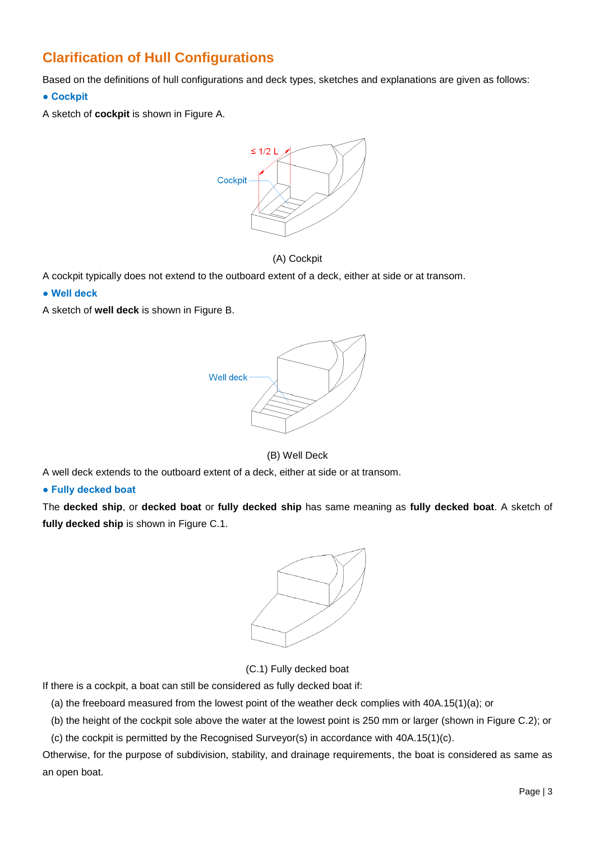### **Clarification of Hull Configurations**

Based on the definitions of hull configurations and deck types, sketches and explanations are given as follows:

**● Cockpit**

A sketch of **cockpit** is shown in Figure A.





A cockpit typically does not extend to the outboard extent of a deck, either at side or at transom.

**● Well deck**

A sketch of **well deck** is shown in Figure B.



#### (B) Well Deck

A well deck extends to the outboard extent of a deck, either at side or at transom.

#### **● Fully decked boat**

The **decked ship**, or **decked boat** or **fully decked ship** has same meaning as **fully decked boat**. A sketch of **fully decked ship** is shown in Figure C.1.



(C.1) Fully decked boat

If there is a cockpit, a boat can still be considered as fully decked boat if:

(a) the freeboard measured from the lowest point of the weather deck complies with 40A.15(1)(a); or

(b) the height of the cockpit sole above the water at the lowest point is 250 mm or larger (shown in Figure C.2); or

(c) the cockpit is permitted by the Recognised Surveyor(s) in accordance with 40A.15(1)(c).

Otherwise, for the purpose of subdivision, stability, and drainage requirements, the boat is considered as same as an open boat.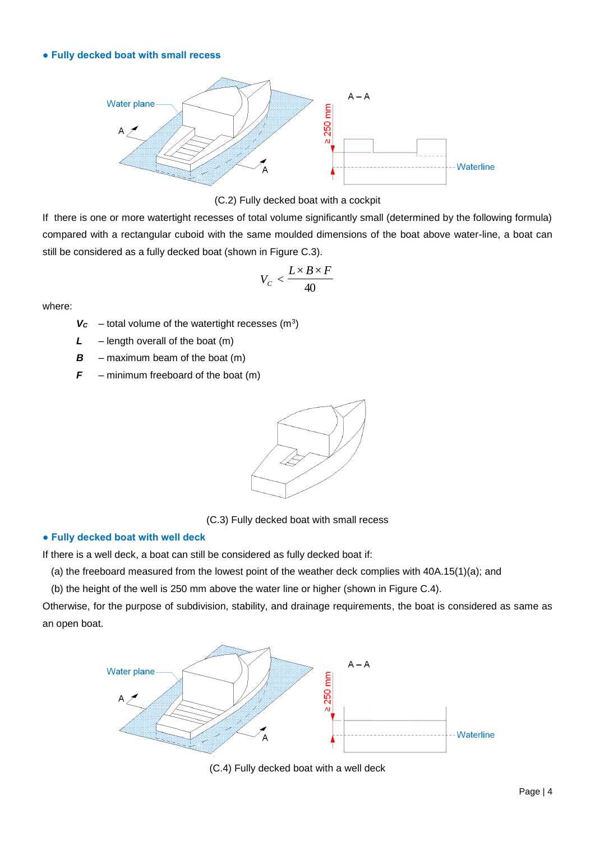#### **● Fully decked boat with small recess**





If there is one or more watertight recesses of total volume significantly small (determined by the following formula) compared with a rectangular cuboid with the same moulded dimensions of the boat above water-line, a boat can still be considered as a fully decked boat (shown in Figure C.3).

$$
V_C < \frac{L \times B \times F}{40}
$$

where:

 $V_c$  – total volume of the watertight recesses (m<sup>3</sup>)

*L* – length overall of the boat (m)

 $\mathbf{B}$  – maximum beam of the boat (m)

 $F$  – minimum freeboard of the boat  $(m)$ 



(C.3) Fully decked boat with small recess

#### **● Fully decked boat with well deck**

If there is a well deck, a boat can still be considered as fully decked boat if:

(a) the freeboard measured from the lowest point of the weather deck complies with 40A.15(1)(a); and

(b) the height of the well is 250 mm above the water line or higher (shown in Figure C.4).

Otherwise, for the purpose of subdivision, stability, and drainage requirements, the boat is considered as same as an open boat.



(C.4) Fully decked boat with a well deck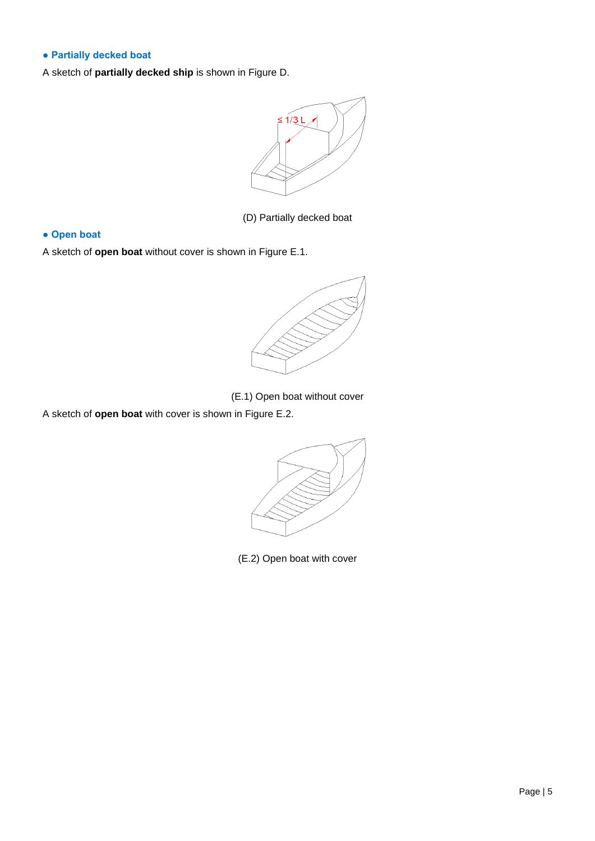#### **● Partially decked boat**

A sketch of **partially decked ship** is shown in Figure D.



(D) Partially decked boat

#### **● Open boat**

A sketch of **open boat** without cover is shown in Figure E.1.



(E.1) Open boat without cover

A sketch of **open boat** with cover is shown in Figure E.2.



(E.2) Open boat with cover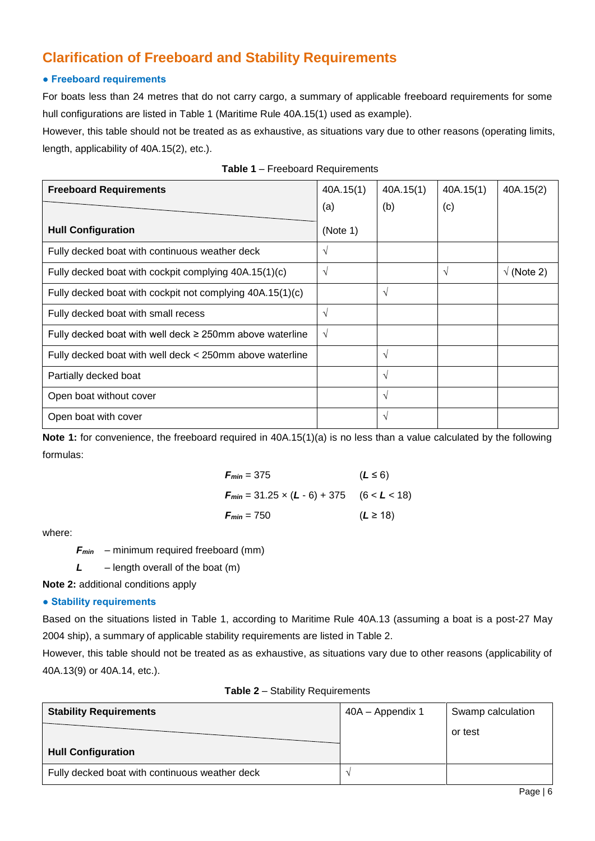### **Clarification of Freeboard and Stability Requirements**

#### **● Freeboard requirements**

For boats less than 24 metres that do not carry cargo, a summary of applicable freeboard requirements for some hull configurations are listed in Table 1 (Maritime Rule 40A.15(1) used as example).

However, this table should not be treated as as exhaustive, as situations vary due to other reasons (operating limits, length, applicability of 40A.15(2), etc.).

| <b>Freeboard Requirements</b>                                 | 40A.15(1)  | 40A.15(1) | 40A.15(1)  | 40A.15(2)         |
|---------------------------------------------------------------|------------|-----------|------------|-------------------|
|                                                               | (a)        | (b)       | (c)        |                   |
| <b>Hull Configuration</b>                                     | (Note 1)   |           |            |                   |
| Fully decked boat with continuous weather deck                | $\sqrt{ }$ |           |            |                   |
| Fully decked boat with cockpit complying 40A.15(1)(c)         | $\sqrt{ }$ |           | $\sqrt{ }$ | $\sqrt{(Note 2)}$ |
| Fully decked boat with cockpit not complying 40A.15(1)(c)     |            | $\sqrt{}$ |            |                   |
| Fully decked boat with small recess                           | V          |           |            |                   |
| Fully decked boat with well deck $\geq$ 250mm above waterline | V          |           |            |                   |
| Fully decked boat with well deck < 250mm above waterline      |            | V         |            |                   |
| Partially decked boat                                         |            | V         |            |                   |
| Open boat without cover                                       |            | V         |            |                   |
| Open boat with cover                                          |            | $\sqrt{}$ |            |                   |

| Table 1 - Freeboard Requirements |
|----------------------------------|
|----------------------------------|

**Note 1:** for convenience, the freeboard required in 40A.15(1)(a) is no less than a value calculated by the following formulas:

$$
F_{min} = 375 \t (L \le 6)
$$
  
\n
$$
F_{min} = 31.25 \times (L - 6) + 375 \t (6 < L < 18)
$$
  
\n
$$
F_{min} = 750 \t (L \ge 18)
$$

where:

*Fmin* – minimum required freeboard (mm)

*L* – length overall of the boat (m)

**Note 2:** additional conditions apply

#### **● Stability requirements**

Based on the situations listed in Table 1, according to Maritime Rule 40A.13 (assuming a boat is a post-27 May 2004 ship), a summary of applicable stability requirements are listed in Table 2.

However, this table should not be treated as as exhaustive, as situations vary due to other reasons (applicability of 40A.13(9) or 40A.14, etc.).

| <b>Stability Requirements</b>                  | 40A - Appendix 1 | Swamp calculation |  |
|------------------------------------------------|------------------|-------------------|--|
|                                                |                  | or test           |  |
| <b>Hull Configuration</b>                      |                  |                   |  |
| Fully decked boat with continuous weather deck |                  |                   |  |

#### **Table 2** – Stability Requirements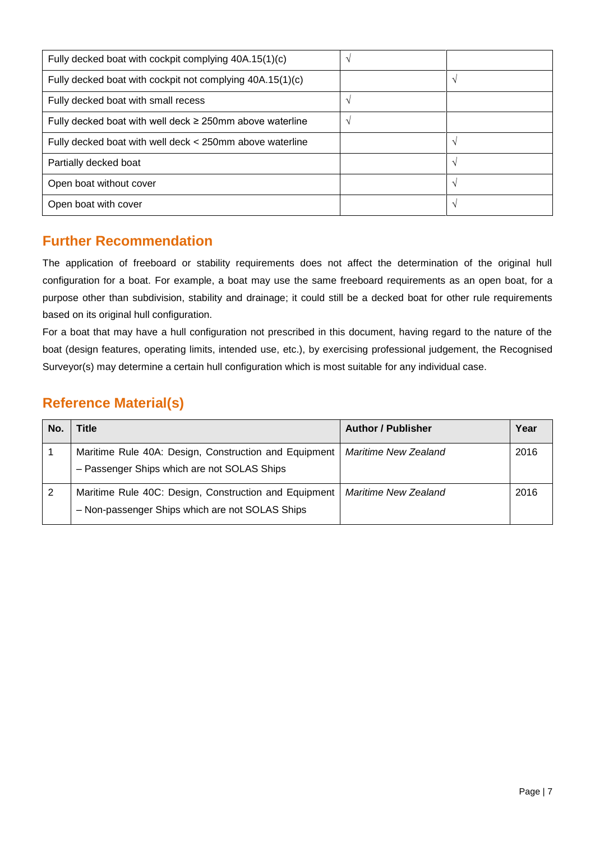| Fully decked boat with cockpit complying 40A.15(1)(c)         | $\mathcal{N}$ |               |
|---------------------------------------------------------------|---------------|---------------|
| Fully decked boat with cockpit not complying 40A.15(1)(c)     |               | $\mathcal{L}$ |
| Fully decked boat with small recess                           | $\mathcal{N}$ |               |
| Fully decked boat with well deck $\geq$ 250mm above waterline | $\mathcal{L}$ |               |
| Fully decked boat with well deck < 250mm above waterline      |               | $\mathcal{N}$ |
| Partially decked boat                                         |               | $\mathcal{L}$ |
| Open boat without cover                                       |               | $\sim$        |
| Open boat with cover                                          |               | $\mathcal{N}$ |

### **Further Recommendation**

The application of freeboard or stability requirements does not affect the determination of the original hull configuration for a boat. For example, a boat may use the same freeboard requirements as an open boat, for a purpose other than subdivision, stability and drainage; it could still be a decked boat for other rule requirements based on its original hull configuration.

For a boat that may have a hull configuration not prescribed in this document, having regard to the nature of the boat (design features, operating limits, intended use, etc.), by exercising professional judgement, the Recognised Surveyor(s) may determine a certain hull configuration which is most suitable for any individual case.

### **Reference Material(s)**

| No. | <b>Title</b>                                                                                             | <b>Author / Publisher</b>   | Year |
|-----|----------------------------------------------------------------------------------------------------------|-----------------------------|------|
|     | Maritime Rule 40A: Design, Construction and Equipment<br>- Passenger Ships which are not SOLAS Ships     | <b>Maritime New Zealand</b> | 2016 |
| 2   | Maritime Rule 40C: Design, Construction and Equipment<br>- Non-passenger Ships which are not SOLAS Ships | Maritime New Zealand        | 2016 |